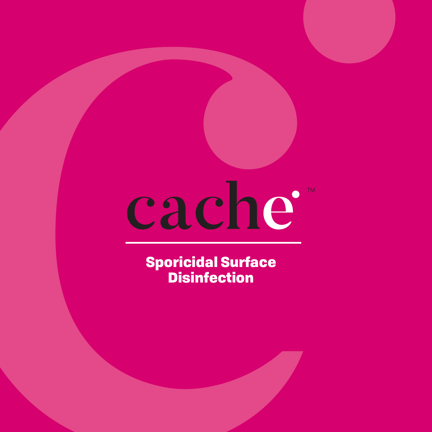## cache  $T<sub>M</sub>$

Sporicidal Surface **Disinfection**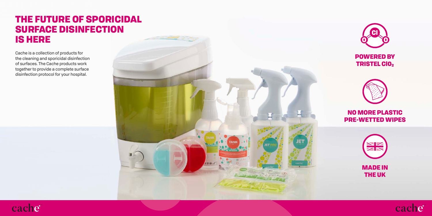## THE FUTURE OF SPORICIDAL SURFACE DISINFECTION IS HERE

Cache is a collection of products for the cleaning and sporicidal disinfection of surfaces. The Cache products work together to provide a complete surface disinfection protocol for your hospital.

cache





POWERED BY **TRISTEL CIO2** 



NO MORE PLASTIC PRE-WETTED WIPES





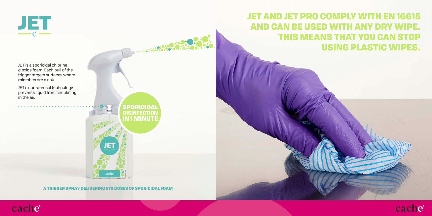

JET AND JET PRO COMPLY WITH EN 16615 AND CAN BE USED WITH ANY DRY WIPE. THIS MEANS THAT YOU CAN STOP USING PLASTIC WIPES.

JET is a sporicidal chlorine dioxide foam. Each pull of the trigger targets surfaces where microbes are a risk.

JET's non-aerosol technology prevents liquid from circulating in the air.



A TRIGGER SPRAY DELIVERING 570 DOSES OF SPORICIDAL FOAM

**The Contract** 



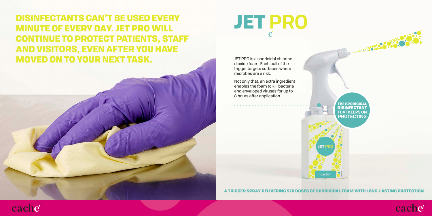DISINFECTANTS CAN'T BE USED EVERY MINUTE OF EVERY DAY. JET PRO WILL CONTINUE TO PROTECT PATIENTS, STAFF AND VISITORS, EVEN AFTER YOU HAVE MOVED ON TO YOUR NEXT TASK.



JET PRO is a sporicidal chlorine dioxide foam. Each pull of the trigger targets surfaces where microbes are a risk.

Not only that, an extra ingredient enables the foam to kill bacteria and enveloped viruses for up to 8 hours after application.

> THE SPORICIDAL DISINFECTANT **THAT KEEPS ON PROTECTING**

**1980.00** 

A TRIGGER SPRAY DELIVERING 570 DOSES OF SPORICIDAL FOAM WITH LONG-LASTING PROTECTION

cache

**JETP** 



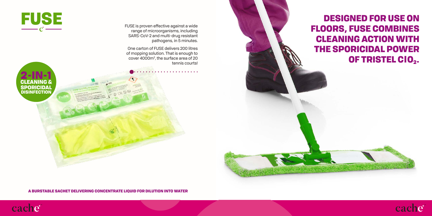DESIGNED FOR USE ON FLOORS, FUSE COMBINES CLEANING ACTION WITH THE SPORICIDAL POWER OF TRISTEL CIO2.

FUSE is proven effective against a wide range of microorganisms, including SARS-CoV-2 and multi-drug resistant pathogens, in 5 minutes.

One carton of FUSE delivers 200 litres of mopping solution. That is enough to cover 4000m2 , the surface area of 20 tennis courts!



FUSE

A BURSTABLE SACHET DELIVERING CONCENTRATE LIQUID FOR DILUTION INTO WATER

FALOO =



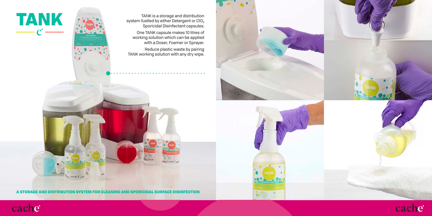

TANK is a storage and distribution system fuelled by either Detergent or ClO $_{\rm 2}$ Sporicidal Disinfectant capsules.

One TANK capsule makes 10 litres of working solution which can be applied with a Doser, Foamer or Sprayer.

Reduce plastic waste by pairing TANK working solution with any dry wipe.





A STORAGE AND DISTRIBUTION SYSTEM FOR CLEANING AND SPORICIDAL SURFACE DISINFECTION